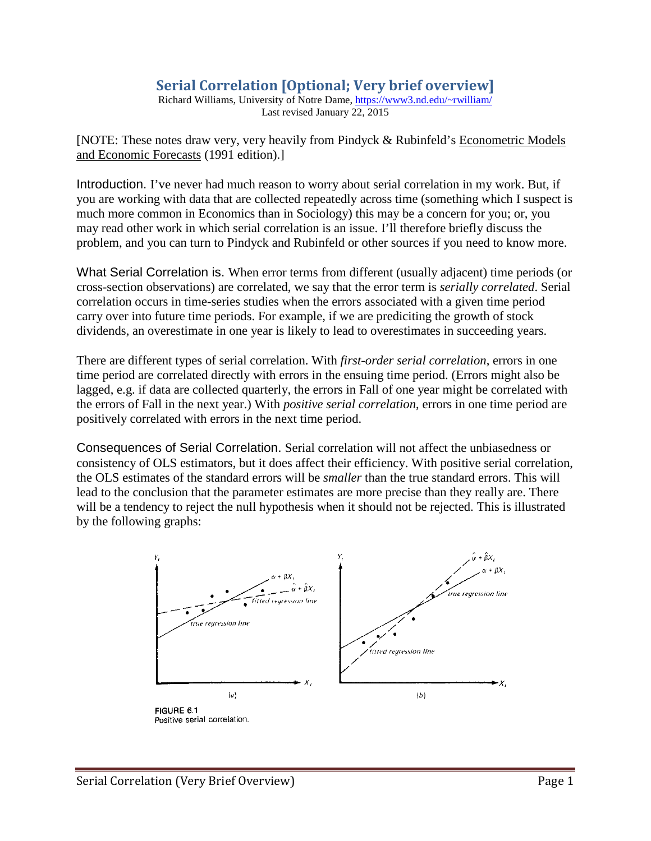## **Serial Correlation [Optional; Very brief overview]**

Richard Williams, University of Notre Dame, [https://www3.nd.edu/~rwilliam/](http://www3.nd.edu/%7Erwilliam/) Last revised January 22, 2015

[NOTE: These notes draw very, very heavily from Pindyck & Rubinfeld's Econometric Models and Economic Forecasts (1991 edition).]

Introduction. I've never had much reason to worry about serial correlation in my work. But, if you are working with data that are collected repeatedly across time (something which I suspect is much more common in Economics than in Sociology) this may be a concern for you; or, you may read other work in which serial correlation is an issue. I'll therefore briefly discuss the problem, and you can turn to Pindyck and Rubinfeld or other sources if you need to know more.

What Serial Correlation is. When error terms from different (usually adjacent) time periods (or cross-section observations) are correlated, we say that the error term is *serially correlated*. Serial correlation occurs in time-series studies when the errors associated with a given time period carry over into future time periods. For example, if we are prediciting the growth of stock dividends, an overestimate in one year is likely to lead to overestimates in succeeding years.

There are different types of serial correlation. With *first-order serial correlation*, errors in one time period are correlated directly with errors in the ensuing time period. (Errors might also be lagged, e.g. if data are collected quarterly, the errors in Fall of one year might be correlated with the errors of Fall in the next year.) With *positive serial correlation*, errors in one time period are positively correlated with errors in the next time period.

Consequences of Serial Correlation. Serial correlation will not affect the unbiasedness or consistency of OLS estimators, but it does affect their efficiency. With positive serial correlation, the OLS estimates of the standard errors will be *smaller* than the true standard errors. This will lead to the conclusion that the parameter estimates are more precise than they really are. There will be a tendency to reject the null hypothesis when it should not be rejected. This is illustrated by the following graphs:

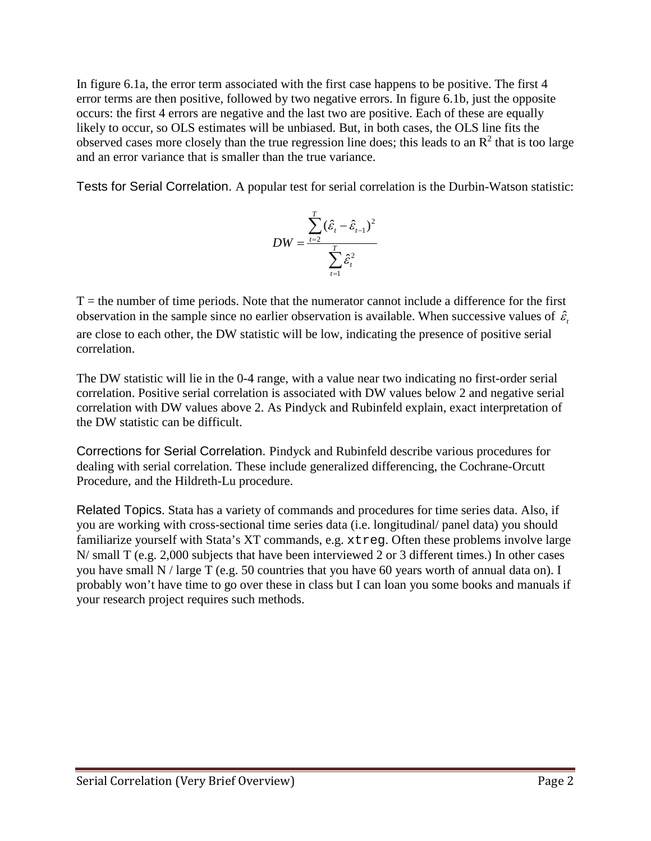In figure 6.1a, the error term associated with the first case happens to be positive. The first 4 error terms are then positive, followed by two negative errors. In figure 6.1b, just the opposite occurs: the first 4 errors are negative and the last two are positive. Each of these are equally likely to occur, so OLS estimates will be unbiased. But, in both cases, the OLS line fits the observed cases more closely than the true regression line does; this leads to an  $\mathbb{R}^2$  that is too large and an error variance that is smaller than the true variance.

Tests for Serial Correlation. A popular test for serial correlation is the Durbin-Watson statistic:

$$
DW = \frac{\sum_{t=2}^{T} (\hat{\varepsilon}_t - \hat{\varepsilon}_{t-1})^2}{\sum_{t=1}^{T} \hat{\varepsilon}_t^2}
$$

 $T =$  the number of time periods. Note that the numerator cannot include a difference for the first observation in the sample since no earlier observation is available. When successive values of  $\hat{\varepsilon}$ , are close to each other, the DW statistic will be low, indicating the presence of positive serial correlation.

The DW statistic will lie in the 0-4 range, with a value near two indicating no first-order serial correlation. Positive serial correlation is associated with DW values below 2 and negative serial correlation with DW values above 2. As Pindyck and Rubinfeld explain, exact interpretation of the DW statistic can be difficult.

Corrections for Serial Correlation. Pindyck and Rubinfeld describe various procedures for dealing with serial correlation. These include generalized differencing, the Cochrane-Orcutt Procedure, and the Hildreth-Lu procedure.

Related Topics. Stata has a variety of commands and procedures for time series data. Also, if you are working with cross-sectional time series data (i.e. longitudinal/ panel data) you should familiarize yourself with Stata's XT commands, e.g. xtreg. Often these problems involve large N/ small T (e.g. 2,000 subjects that have been interviewed 2 or 3 different times.) In other cases you have small N / large T (e.g. 50 countries that you have 60 years worth of annual data on). I probably won't have time to go over these in class but I can loan you some books and manuals if your research project requires such methods.